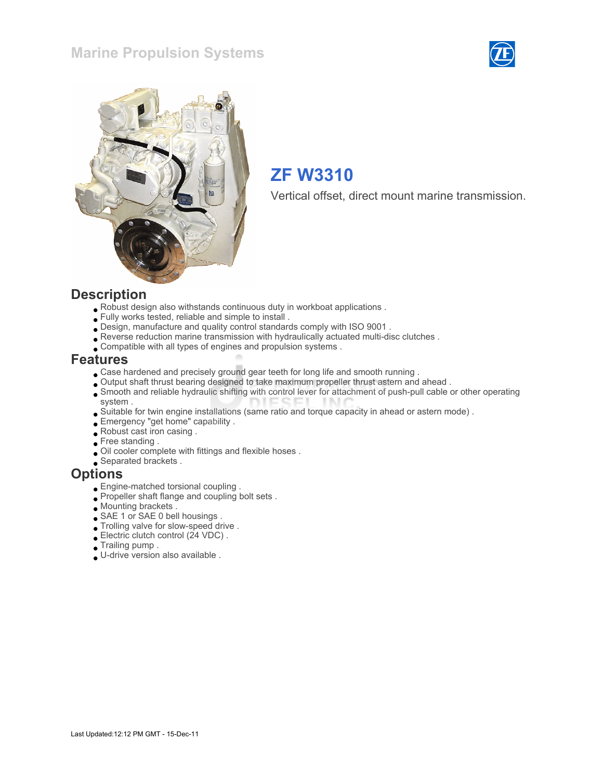### Marine Propulsion Systems





# ZF W3310

Vertical offset, direct mount marine transmission.

#### **Description**

- Robust design also withstands continuous duty in workboat applications .
- Fully works tested, reliable and simple to install .
- Design, manufacture and quality control standards comply with ISO 9001 .
- Reverse reduction marine transmission with hydraulically actuated multi-disc clutches .
- Compatible with all types of engines and propulsion systems .

#### Features

- Case hardened and precisely ground gear teeth for long life and smooth running .
- Output shaft thrust bearing designed to take maximum propeller thrust astern and ahead .
- Smooth and reliable hydraulic shifting with control lever for attachment of push-pull cable or other operating system .
- Suitable for twin engine installations (same ratio and torque capacity in ahead or astern mode) .
- Emergency "get home" capability .
- Robust cast iron casing .
- Free standing .
- Oil cooler complete with fittings and flexible hoses .
- Separated brackets .

#### **Options**

- Engine-matched torsional coupling .
- Propeller shaft flange and coupling bolt sets.
- Mounting brackets .
- SAE 1 or SAE 0 bell housings .
- Trolling valve for slow-speed drive .
- Electric clutch control (24 VDC) .
- Trailing pump .
- U-drive version also available .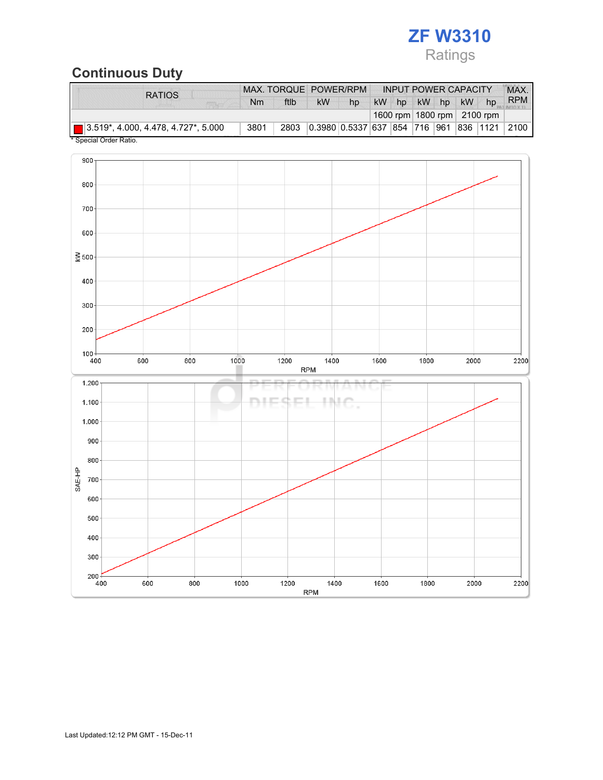# ZF W3310 Ratings

# Continuous Duty

| <b>RATIOS</b>                              | MAX. TORQUE POWER/RPM |      |           |                                    |  | <b>INPUT POWER CAPACITY</b> |           |                                | MAX.       |
|--------------------------------------------|-----------------------|------|-----------|------------------------------------|--|-----------------------------|-----------|--------------------------------|------------|
|                                            | Nm                    | ftlb | <b>kW</b> | hp                                 |  | kW hp kW hp                 | <b>kW</b> | hp                             | <b>RPM</b> |
|                                            |                       |      |           |                                    |  |                             |           | 1600 rpm   1800 rpm   2100 rpm |            |
| $\Box$ 3.519*, 4.000, 4.478, 4.727*, 5.000 | 3801                  |      |           | 2803 0.3980 0.5337 637 854 716 961 |  |                             | 836 1121  |                                | 2100       |
| * Snacial Order Patio                      |                       |      |           |                                    |  |                             |           |                                |            |

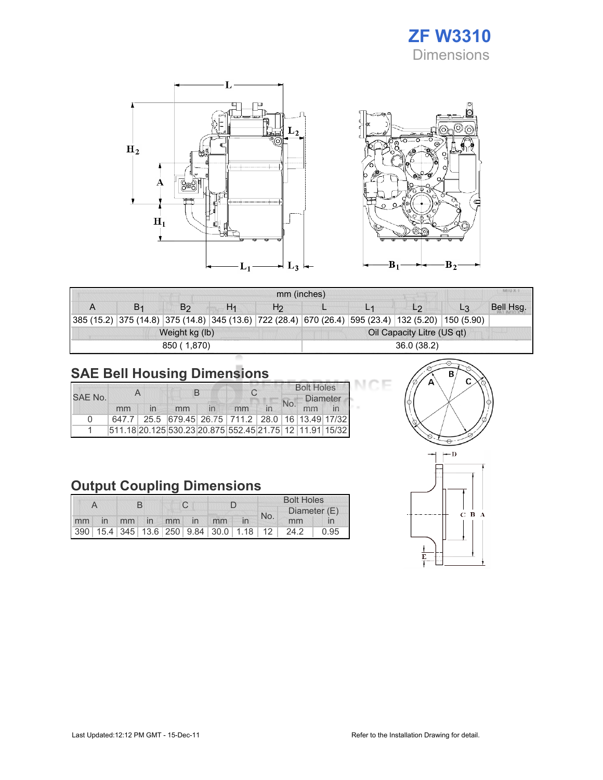# ZF W3310 Dimensions





| MILLY VI<br>mm (inches) |                |                |                |                            |  |                                                                                                            |                |           |  |
|-------------------------|----------------|----------------|----------------|----------------------------|--|------------------------------------------------------------------------------------------------------------|----------------|-----------|--|
|                         | B <sub>2</sub> | H <sub>1</sub> | H <sub>2</sub> |                            |  | L <sub>2</sub>                                                                                             | L <sub>3</sub> | Bell Hsg. |  |
|                         |                |                |                |                            |  | 385 (15.2)  375 (14.8)  375 (14.8)  345 (13.6)  722 (28.4)  670 (26.4)  595 (23.4)  132 (5.20)  150 (5.90) |                |           |  |
|                         | Weight kg (lb) |                |                | Oil Capacity Litre (US qt) |  |                                                                                                            |                |           |  |
|                         | 850 (1,870)    |                |                | 36.0 (38.2)                |  |                                                                                                            |                |           |  |

# SAE Bell Housing Dimensions

| SAF No. |    |  |                                                         |  |    | <b>Bolt Holes</b><br><b>Diameter</b> |    |  |
|---------|----|--|---------------------------------------------------------|--|----|--------------------------------------|----|--|
|         | mm |  | mm                                                      |  | mm | No.                                  | mm |  |
| n       |    |  | 647.7 25.5 679.45 26.75 711.2 28.0 16 13.49 17/32       |  |    |                                      |    |  |
|         |    |  | 511.18 20.125 530.23 20.875 552.45 21.75 12 11.91 15/32 |  |    |                                      |    |  |

# Output Coupling Dimensions

|    |                |  |  |             | <b>Bolt Holes</b>                       |     |              |      |
|----|----------------|--|--|-------------|-----------------------------------------|-----|--------------|------|
|    |                |  |  |             |                                         | No. | Diameter (E) |      |
| mm | $\overline{m}$ |  |  | mm in mm in | mm                                      |     | mm           |      |
|    |                |  |  |             | 390 15.4 345 13.6 250 9.84 30.0 1.18 12 |     | 24.2         | 0.95 |



Е